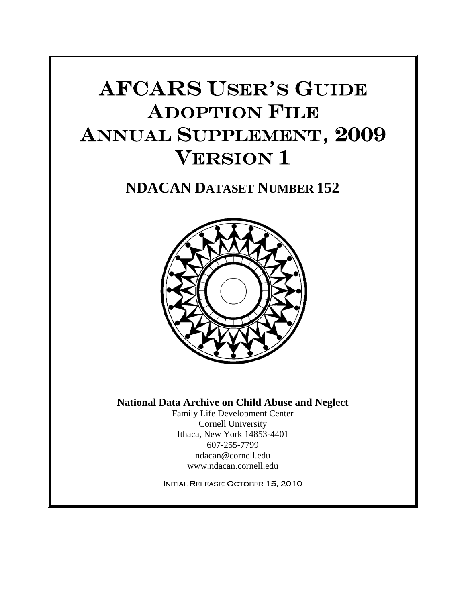# AFCARS USER'S GUIDE ADOPTION FILE ANNUAL SUPPLEMENT, 2009 VERSION 1

# **NDACAN DATASET NUMBER 152**



### **National Data Archive on Child Abuse and Neglect**

Family Life Development Center Cornell University Ithaca, New York 14853-4401 607-255-7799 ndacan@cornell.edu www.ndacan.cornell.edu

Initial Release: October 15, 2010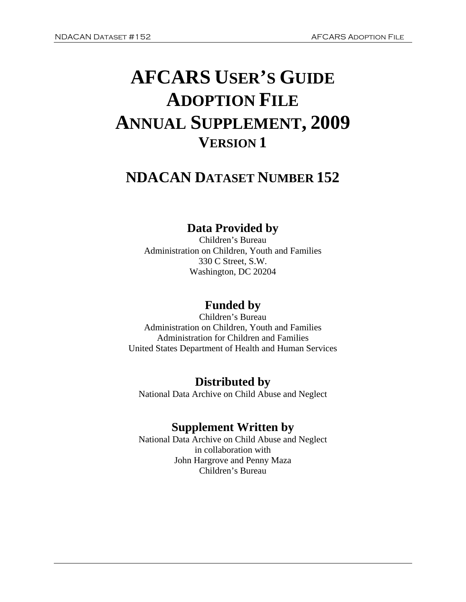# **AFCARS USER'S GUIDE ADOPTION FILE ANNUAL SUPPLEMENT, 2009 VERSION 1**

# **NDACAN DATASET NUMBER 152**

# **Data Provided by**

Children's Bureau Administration on Children, Youth and Families 330 C Street, S.W. Washington, DC 20204

# **Funded by**

Children's Bureau Administration on Children, Youth and Families Administration for Children and Families United States Department of Health and Human Services

# **Distributed by**

National Data Archive on Child Abuse and Neglect

# **Supplement Written by**

National Data Archive on Child Abuse and Neglect in collaboration with John Hargrove and Penny Maza Children's Bureau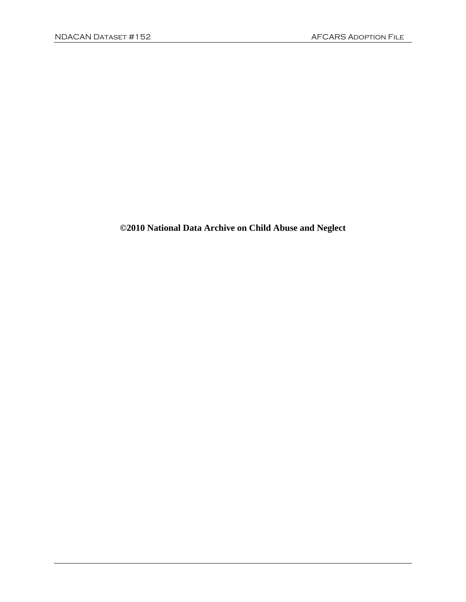# **©2010 National Data Archive on Child Abuse and Neglect**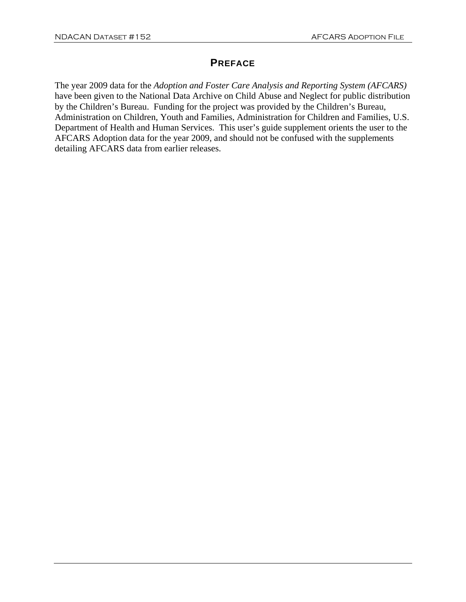#### **PREFACE**

The year 2009 data for the *Adoption and Foster Care Analysis and Reporting System (AFCARS)*  have been given to the National Data Archive on Child Abuse and Neglect for public distribution by the Children's Bureau. Funding for the project was provided by the Children's Bureau, Administration on Children, Youth and Families, Administration for Children and Families, U.S. Department of Health and Human Services. This user's guide supplement orients the user to the AFCARS Adoption data for the year 2009, and should not be confused with the supplements detailing AFCARS data from earlier releases.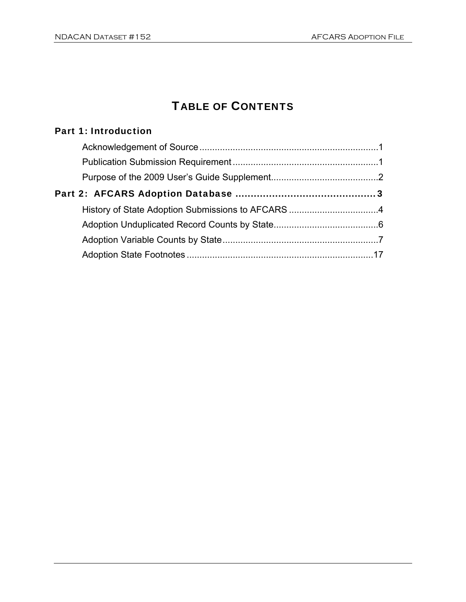# TABLE OF CONTENTS

## Part 1: Introduction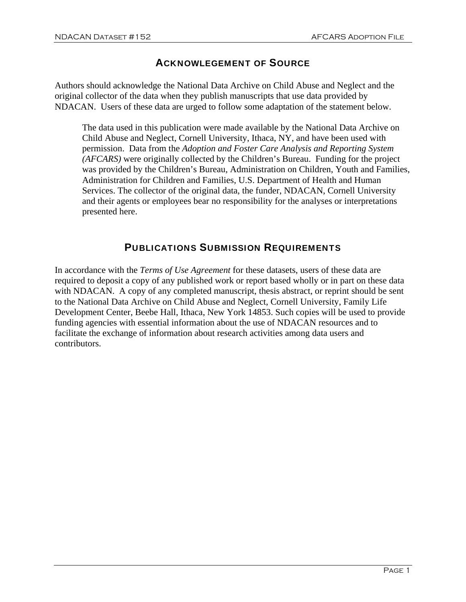#### ACKNOWLEGEMENT OF SOURCE

Authors should acknowledge the National Data Archive on Child Abuse and Neglect and the original collector of the data when they publish manuscripts that use data provided by NDACAN. Users of these data are urged to follow some adaptation of the statement below.

The data used in this publication were made available by the National Data Archive on Child Abuse and Neglect, Cornell University, Ithaca, NY, and have been used with permission. Data from the *Adoption and Foster Care Analysis and Reporting System (AFCARS)* were originally collected by the Children's Bureau. Funding for the project was provided by the Children's Bureau, Administration on Children, Youth and Families, Administration for Children and Families, U.S. Department of Health and Human Services. The collector of the original data, the funder, NDACAN, Cornell University and their agents or employees bear no responsibility for the analyses or interpretations presented here.

#### PUBLICATIONS SUBMISSION REQUIREMENTS

In accordance with the *Terms of Use Agreement* for these datasets, users of these data are required to deposit a copy of any published work or report based wholly or in part on these data with NDACAN. A copy of any completed manuscript, thesis abstract, or reprint should be sent to the National Data Archive on Child Abuse and Neglect, Cornell University, Family Life Development Center, Beebe Hall, Ithaca, New York 14853. Such copies will be used to provide funding agencies with essential information about the use of NDACAN resources and to facilitate the exchange of information about research activities among data users and contributors.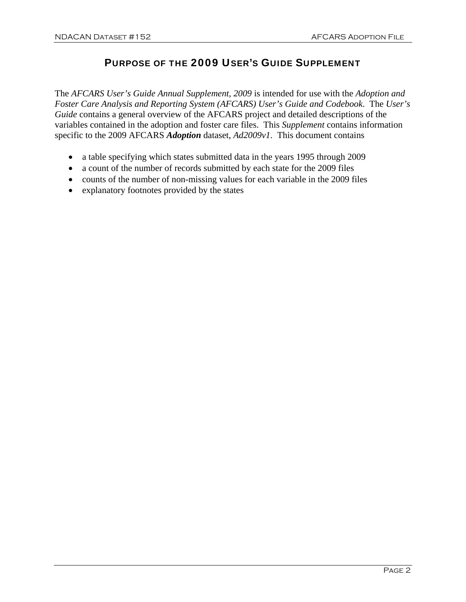#### PURPOSE OF THE 2009 USER'S GUIDE SUPPLEMENT

The *AFCARS User's Guide Annual Supplement, 2009* is intended for use with the *Adoption and Foster Care Analysis and Reporting System (AFCARS) User's Guide and Codebook*. The *User's Guide* contains a general overview of the AFCARS project and detailed descriptions of the variables contained in the adoption and foster care files. This *Supplement* contains information specific to the 2009 AFCARS *Adoption* dataset, *Ad2009v1*. This document contains

- a table specifying which states submitted data in the years 1995 through 2009
- a count of the number of records submitted by each state for the 2009 files
- counts of the number of non-missing values for each variable in the 2009 files
- explanatory footnotes provided by the states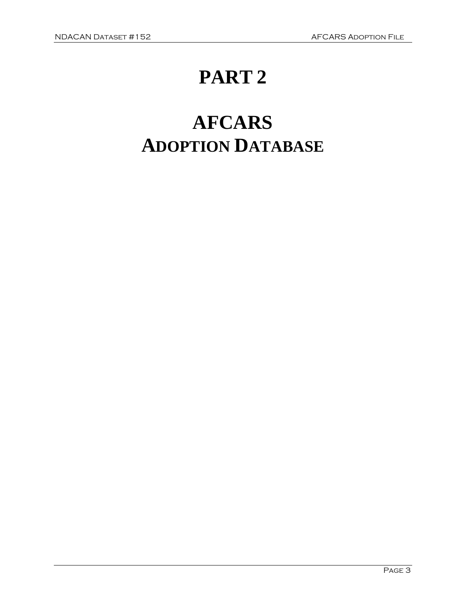# **PART 2**

# **AFCARS ADOPTION DATABASE**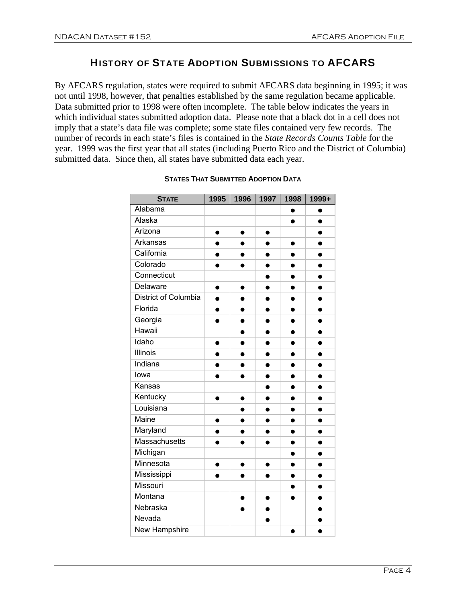### HISTORY OF STATE ADOPTION SUBMISSIONS TO AFCARS

By AFCARS regulation, states were required to submit AFCARS data beginning in 1995; it was not until 1998, however, that penalties established by the same regulation became applicable. Data submitted prior to 1998 were often incomplete. The table below indicates the years in which individual states submitted adoption data. Please note that a black dot in a cell does not imply that a state's data file was complete; some state files contained very few records. The number of records in each state's files is contained in the *State Records Counts Table* for the year. 1999 was the first year that all states (including Puerto Rico and the District of Columbia) submitted data. Since then, all states have submitted data each year.

| <b>STATE</b>                | 1995      | 1996      | 1997      | 1998      | 1999+     |
|-----------------------------|-----------|-----------|-----------|-----------|-----------|
| Alabama                     |           |           |           | ●         |           |
| Alaska                      |           |           |           | $\bullet$ | $\bullet$ |
| Arizona                     | $\bullet$ | $\bullet$ | $\bullet$ |           | $\bullet$ |
| Arkansas                    |           |           |           |           |           |
| California                  | $\bullet$ | ●         | 0         | 0         | $\bullet$ |
| Colorado                    |           |           |           |           |           |
| Connecticut                 |           |           | $\bullet$ | $\bullet$ | $\bullet$ |
| Delaware                    | $\bullet$ | $\bullet$ | $\bullet$ | ●         | $\bullet$ |
| <b>District of Columbia</b> | $\bullet$ |           |           |           |           |
| Florida                     | $\bullet$ | ●         | $\bullet$ | $\bullet$ | $\bullet$ |
| Georgia                     |           | $\bullet$ |           | $\bullet$ | $\bullet$ |
| Hawaii                      |           | $\bullet$ | $\bullet$ | $\bullet$ | $\bullet$ |
| Idaho                       | $\bullet$ | $\bullet$ | ●         | ●         | ●         |
| <b>Illinois</b>             |           |           | $\bullet$ |           |           |
| Indiana                     |           |           |           | ●         | ●         |
| lowa                        |           |           |           | $\bullet$ | 0         |
| Kansas                      |           |           | $\bullet$ | $\bullet$ | $\bullet$ |
| Kentucky                    |           | $\bullet$ | ●         |           |           |
| Louisiana                   |           |           | $\bullet$ |           |           |
| Maine                       | $\bullet$ |           |           |           |           |
| Maryland                    | $\bullet$ |           | $\bullet$ |           |           |
| <b>Massachusetts</b>        | $\bullet$ |           | $\bullet$ | $\bullet$ | $\bullet$ |
| Michigan                    |           |           |           |           |           |
| Minnesota                   | $\bullet$ | $\bullet$ | $\bullet$ | $\bullet$ | $\bullet$ |
| Mississippi                 |           |           |           |           |           |
| Missouri                    |           |           |           |           | $\bullet$ |
| Montana                     |           | $\bullet$ | $\bullet$ | $\bullet$ | $\bullet$ |
| Nebraska                    |           |           |           |           |           |
| Nevada                      |           |           | $\bullet$ |           | $\bullet$ |
| New Hampshire               |           |           |           |           |           |

#### **STATES THAT SUBMITTED ADOPTION DATA**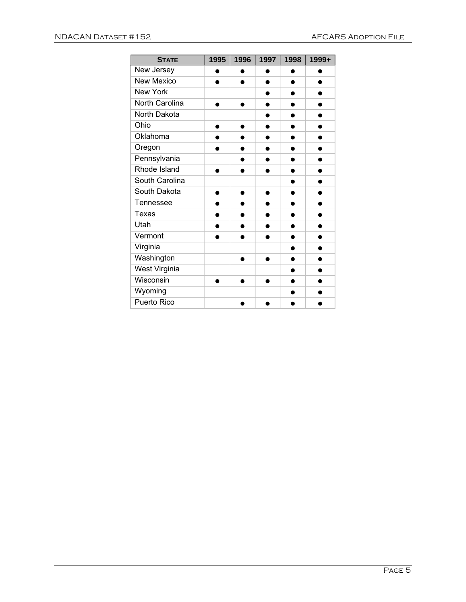| <b>STATE</b>      | 1995      | 1996 | 1997 | 1998 | 1999+     |
|-------------------|-----------|------|------|------|-----------|
| New Jersey        |           |      |      |      |           |
| <b>New Mexico</b> | ●         |      | ●    | ●    | ●         |
| New York          |           |      | ●    |      |           |
| North Carolina    | ●         |      |      |      |           |
| North Dakota      |           |      |      |      |           |
| Ohio              | ●         |      | ●    |      | D         |
| Oklahoma          | $\bullet$ |      | ●    | ●    | ●         |
| Oregon            |           |      |      |      |           |
| Pennsylvania      |           |      |      |      |           |
| Rhode Island      | ●         |      | ●    | ●    | $\bullet$ |
| South Carolina    |           |      |      |      |           |
| South Dakota      | ●         |      |      |      |           |
| Tennessee         | $\bullet$ |      |      | ●    |           |
| Texas             | ●         |      |      |      | D         |
| Utah              | ●         |      |      |      |           |
| Vermont           |           |      |      |      |           |
| Virginia          |           |      |      |      | Ð         |
| Washington        |           |      |      |      |           |
| West Virginia     |           |      |      |      |           |
| Wisconsin         |           |      |      |      |           |
| Wyoming           |           |      |      |      |           |
| Puerto Rico       |           |      |      |      |           |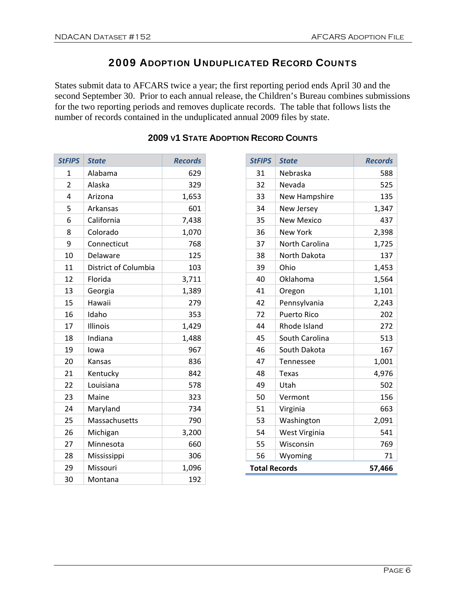## ADOPTION UNDUPLICATED RECORD COUNTS

States submit data to AFCARS twice a year; the first reporting period ends April 30 and the second September 30. Prior to each annual release, the Children's Bureau combines submissions for the two reporting periods and removes duplicate records. The table that follows lists the number of records contained in the unduplicated annual 2009 files by state.

| <b>StFIPS</b> | <b>State</b>         | <b>Records</b> |
|---------------|----------------------|----------------|
| 1             | Alabama              | 629            |
| 2             | Alaska               | 329            |
| 4             | Arizona              | 1,653          |
| 5             | Arkansas             | 601            |
| 6             | California           | 7,438          |
| 8             | Colorado             | 1,070          |
| 9             | Connecticut          | 768            |
| 10            | Delaware             | 125            |
| 11            | District of Columbia | 103            |
| 12            | Florida              | 3,711          |
| 13            | Georgia              | 1,389          |
| 15            | Hawaii               | 279            |
| 16            | Idaho                | 353            |
| 17            | Illinois             | 1,429          |
| 18            | Indiana              | 1,488          |
| 19            | lowa                 | 967            |
| 20            | Kansas               | 836            |
| 21            | Kentucky             | 842            |
| 22            | Louisiana            | 578            |
| 23            | Maine                | 323            |
| 24            | Maryland             | 734            |
| 25            | Massachusetts        | 790            |
| 26            | Michigan             | 3,200          |
| 27            | Minnesota            | 660            |
| 28            | Mississippi          | 306            |
| 29            | Missouri             | 1,096          |
| 30            | Montana              | 192            |

## **V1 STATE ADOPTION RECORD COUNTS**

| <b>StFIPS</b>        | <b>State</b>       | <b>Records</b> |
|----------------------|--------------------|----------------|
| 31                   | Nebraska           | 588            |
| 32                   | Nevada             | 525            |
| 33                   | New Hampshire      | 135            |
| 34                   | New Jersey         | 1,347          |
| 35                   | <b>New Mexico</b>  | 437            |
| 36                   | <b>New York</b>    | 2,398          |
| 37                   | North Carolina     | 1,725          |
| 38                   | North Dakota       | 137            |
| 39                   | Ohio               | 1,453          |
| 40                   | Oklahoma           | 1,564          |
| 41                   | Oregon             | 1,101          |
| 42                   | Pennsylvania       | 2,243          |
| 72                   | <b>Puerto Rico</b> | 202            |
| 44                   | Rhode Island       | 272            |
| 45                   | South Carolina     | 513            |
| 46                   | South Dakota       | 167            |
| 47                   | <b>Tennessee</b>   | 1,001          |
| 48                   | Texas              | 4,976          |
| 49                   | Utah               | 502            |
| 50                   | Vermont            | 156            |
| 51                   | Virginia           | 663            |
| 53                   | Washington         | 2,091          |
| 54                   | West Virginia      | 541            |
| 55                   | Wisconsin          | 769            |
| 56                   | Wyoming            | 71             |
| <b>Total Records</b> |                    | 57,466         |
|                      |                    |                |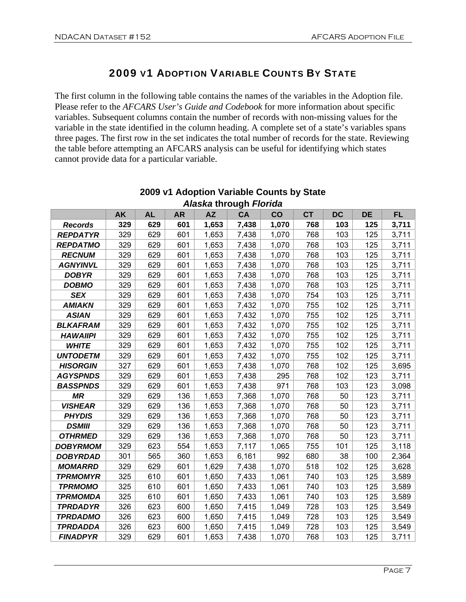## 2009 V1 ADOPTION VARIABLE COUNTS BY STATE

The first column in the following table contains the names of the variables in the Adoption file. Please refer to the *AFCARS User's Guide and Codebook* for more information about specific variables. Subsequent columns contain the number of records with non-missing values for the variable in the state identified in the column heading. A complete set of a state's variables spans three pages. The first row in the set indicates the total number of records for the state. Reviewing the table before attempting an AFCARS analysis can be useful for identifying which states cannot provide data for a particular variable.

|                 | <b>AK</b> | <b>AL</b> | <b>AR</b> | <b>AZ</b> | CA    | CO    | <b>CT</b> | <b>DC</b> | <b>DE</b> | <b>FL</b> |
|-----------------|-----------|-----------|-----------|-----------|-------|-------|-----------|-----------|-----------|-----------|
| <b>Records</b>  | 329       | 629       | 601       | 1,653     | 7,438 | 1,070 | 768       | 103       | 125       | 3,711     |
| <b>REPDATYR</b> | 329       | 629       | 601       | 1,653     | 7,438 | 1,070 | 768       | 103       | 125       | 3,711     |
| <b>REPDATMO</b> | 329       | 629       | 601       | 1,653     | 7,438 | 1,070 | 768       | 103       | 125       | 3,711     |
| <b>RECNUM</b>   | 329       | 629       | 601       | 1,653     | 7,438 | 1,070 | 768       | 103       | 125       | 3,711     |
| <b>AGNYINVL</b> | 329       | 629       | 601       | 1,653     | 7,438 | 1,070 | 768       | 103       | 125       | 3,711     |
| <b>DOBYR</b>    | 329       | 629       | 601       | 1,653     | 7,438 | 1,070 | 768       | 103       | 125       | 3,711     |
| <b>DOBMO</b>    | 329       | 629       | 601       | 1,653     | 7,438 | 1,070 | 768       | 103       | 125       | 3,711     |
| <b>SEX</b>      | 329       | 629       | 601       | 1,653     | 7,438 | 1,070 | 754       | 103       | 125       | 3,711     |
| <b>AMIAKN</b>   | 329       | 629       | 601       | 1,653     | 7,432 | 1,070 | 755       | 102       | 125       | 3,711     |
| <b>ASIAN</b>    | 329       | 629       | 601       | 1,653     | 7,432 | 1,070 | 755       | 102       | 125       | 3,711     |
| <b>BLKAFRAM</b> | 329       | 629       | 601       | 1,653     | 7,432 | 1,070 | 755       | 102       | 125       | 3,711     |
| <b>HAWAIIPI</b> | 329       | 629       | 601       | 1,653     | 7,432 | 1,070 | 755       | 102       | 125       | 3,711     |
| <b>WHITE</b>    | 329       | 629       | 601       | 1,653     | 7,432 | 1,070 | 755       | 102       | 125       | 3,711     |
| <b>UNTODETM</b> | 329       | 629       | 601       | 1,653     | 7,432 | 1,070 | 755       | 102       | 125       | 3,711     |
| <b>HISORGIN</b> | 327       | 629       | 601       | 1,653     | 7,438 | 1,070 | 768       | 102       | 125       | 3,695     |
| <b>AGYSPNDS</b> | 329       | 629       | 601       | 1,653     | 7,438 | 295   | 768       | 102       | 123       | 3,711     |
| <b>BASSPNDS</b> | 329       | 629       | 601       | 1,653     | 7,438 | 971   | 768       | 103       | 123       | 3,098     |
| <b>MR</b>       | 329       | 629       | 136       | 1,653     | 7,368 | 1,070 | 768       | 50        | 123       | 3,711     |
| <b>VISHEAR</b>  | 329       | 629       | 136       | 1,653     | 7,368 | 1,070 | 768       | 50        | 123       | 3,711     |
| <b>PHYDIS</b>   | 329       | 629       | 136       | 1,653     | 7,368 | 1,070 | 768       | 50        | 123       | 3,711     |
| <b>DSMIII</b>   | 329       | 629       | 136       | 1,653     | 7,368 | 1,070 | 768       | 50        | 123       | 3,711     |
| <b>OTHRMED</b>  | 329       | 629       | 136       | 1,653     | 7,368 | 1,070 | 768       | 50        | 123       | 3,711     |
| <b>DOBYRMOM</b> | 329       | 623       | 554       | 1,653     | 7,117 | 1,065 | 755       | 101       | 125       | 3,118     |
| <b>DOBYRDAD</b> | 301       | 565       | 360       | 1,653     | 6,161 | 992   | 680       | 38        | 100       | 2,364     |
| <b>MOMARRD</b>  | 329       | 629       | 601       | 1,629     | 7,438 | 1,070 | 518       | 102       | 125       | 3,628     |
| <b>TPRMOMYR</b> | 325       | 610       | 601       | 1,650     | 7,433 | 1,061 | 740       | 103       | 125       | 3,589     |
| <b>TPRMOMO</b>  | 325       | 610       | 601       | 1,650     | 7,433 | 1,061 | 740       | 103       | 125       | 3,589     |
| <b>TPRMOMDA</b> | 325       | 610       | 601       | 1,650     | 7,433 | 1,061 | 740       | 103       | 125       | 3,589     |
| <b>TPRDADYR</b> | 326       | 623       | 600       | 1,650     | 7,415 | 1,049 | 728       | 103       | 125       | 3,549     |
| <b>TPRDADMO</b> | 326       | 623       | 600       | 1,650     | 7,415 | 1,049 | 728       | 103       | 125       | 3,549     |
| <b>TPRDADDA</b> | 326       | 623       | 600       | 1,650     | 7,415 | 1,049 | 728       | 103       | 125       | 3,549     |
| <b>FINADPYR</b> | 329       | 629       | 601       | 1,653     | 7,438 | 1,070 | 768       | 103       | 125       | 3,711     |

#### **2009 v1 Adoption Variable Counts by State**  *Alaska* **through** *Florida*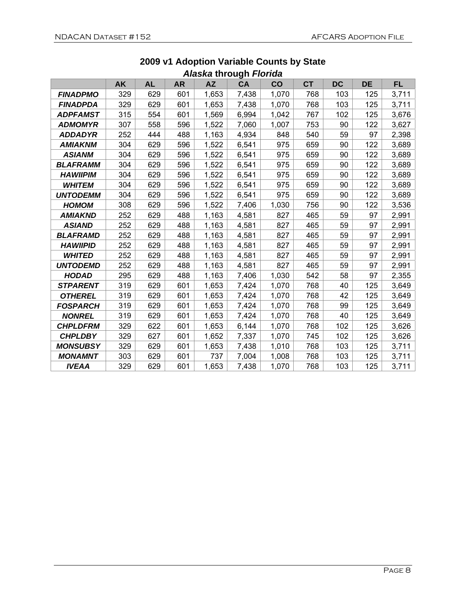|                 |     |           |           |           | J.,       |               |           |           |           |           |
|-----------------|-----|-----------|-----------|-----------|-----------|---------------|-----------|-----------|-----------|-----------|
|                 | AK  | <b>AL</b> | <b>AR</b> | <b>AZ</b> | <b>CA</b> | $\mathbf{CO}$ | <b>CT</b> | <b>DC</b> | <b>DE</b> | <b>FL</b> |
| <b>FINADPMO</b> | 329 | 629       | 601       | 1,653     | 7,438     | 1,070         | 768       | 103       | 125       | 3,711     |
| <b>FINADPDA</b> | 329 | 629       | 601       | 1,653     | 7,438     | 1,070         | 768       | 103       | 125       | 3,711     |
| ADPFAMST        | 315 | 554       | 601       | 1,569     | 6,994     | 1,042         | 767       | 102       | 125       | 3,676     |
| <b>ADMOMYR</b>  | 307 | 558       | 596       | 1,522     | 7,060     | 1,007         | 753       | 90        | 122       | 3,627     |
| <b>ADDADYR</b>  | 252 | 444       | 488       | 1,163     | 4,934     | 848           | 540       | 59        | 97        | 2,398     |
| <b>AMIAKNM</b>  | 304 | 629       | 596       | 1,522     | 6,541     | 975           | 659       | 90        | 122       | 3,689     |
| <b>ASIANM</b>   | 304 | 629       | 596       | 1,522     | 6,541     | 975           | 659       | 90        | 122       | 3,689     |
| <b>BLAFRAMM</b> | 304 | 629       | 596       | 1,522     | 6,541     | 975           | 659       | 90        | 122       | 3,689     |
| <b>HAWIIPIM</b> | 304 | 629       | 596       | 1,522     | 6,541     | 975           | 659       | 90        | 122       | 3,689     |
| <b>WHITEM</b>   | 304 | 629       | 596       | 1,522     | 6,541     | 975           | 659       | 90        | 122       | 3,689     |
| <b>UNTODEMM</b> | 304 | 629       | 596       | 1,522     | 6,541     | 975           | 659       | 90        | 122       | 3,689     |
| <b>HOMOM</b>    | 308 | 629       | 596       | 1,522     | 7,406     | 1,030         | 756       | 90        | 122       | 3,536     |
| <b>AMIAKND</b>  | 252 | 629       | 488       | 1,163     | 4,581     | 827           | 465       | 59        | 97        | 2,991     |
| <b>ASIAND</b>   | 252 | 629       | 488       | 1,163     | 4,581     | 827           | 465       | 59        | 97        | 2,991     |
| <b>BLAFRAMD</b> | 252 | 629       | 488       | 1,163     | 4,581     | 827           | 465       | 59        | 97        | 2,991     |
| <b>HAWIIPID</b> | 252 | 629       | 488       | 1,163     | 4,581     | 827           | 465       | 59        | 97        | 2,991     |
| <b>WHITED</b>   | 252 | 629       | 488       | 1,163     | 4,581     | 827           | 465       | 59        | 97        | 2,991     |
| <b>UNTODEMD</b> | 252 | 629       | 488       | 1,163     | 4,581     | 827           | 465       | 59        | 97        | 2,991     |
| <b>HODAD</b>    | 295 | 629       | 488       | 1,163     | 7,406     | 1,030         | 542       | 58        | 97        | 2,355     |
| <b>STPARENT</b> | 319 | 629       | 601       | 1,653     | 7,424     | 1,070         | 768       | 40        | 125       | 3,649     |
| <b>OTHEREL</b>  | 319 | 629       | 601       | 1,653     | 7,424     | 1,070         | 768       | 42        | 125       | 3,649     |
| FOSPARCH        | 319 | 629       | 601       | 1,653     | 7,424     | 1,070         | 768       | 99        | 125       | 3,649     |
| <b>NONREL</b>   | 319 | 629       | 601       | 1,653     | 7,424     | 1,070         | 768       | 40        | 125       | 3,649     |
| <b>CHPLDFRM</b> | 329 | 622       | 601       | 1,653     | 6,144     | 1,070         | 768       | 102       | 125       | 3,626     |
| <b>CHPLDBY</b>  | 329 | 627       | 601       | 1,652     | 7,337     | 1,070         | 745       | 102       | 125       | 3,626     |
| <b>MONSUBSY</b> | 329 | 629       | 601       | 1,653     | 7,438     | 1,010         | 768       | 103       | 125       | 3,711     |
| <b>MONAMNT</b>  | 303 | 629       | 601       | 737       | 7,004     | 1,008         | 768       | 103       | 125       | 3,711     |
| <b>IVEAA</b>    | 329 | 629       | 601       | 1,653     | 7,438     | 1,070         | 768       | 103       | 125       | 3,711     |

#### **2009 v1 Adoption Variable Counts by State**  *Alaska* **through** *Florida*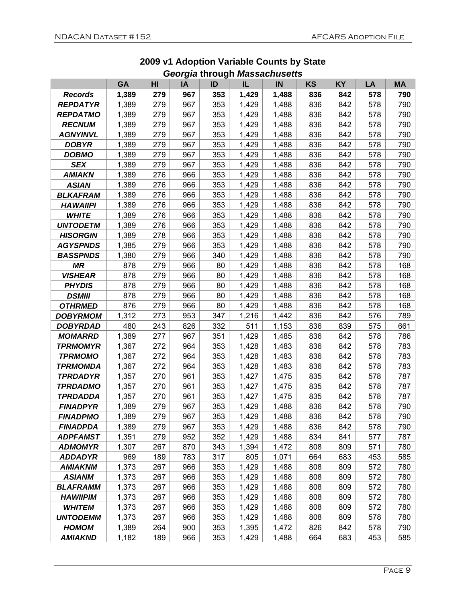|                       | <b>GA</b> | HI  | ΙA  | ID  | IL    | IN    | <b>KS</b> | <b>KY</b> | LA  | <b>MA</b> |
|-----------------------|-----------|-----|-----|-----|-------|-------|-----------|-----------|-----|-----------|
| <b>Records</b>        | 1,389     | 279 | 967 | 353 | 1,429 | 1,488 | 836       | 842       | 578 | 790       |
| <b>REPDATYR</b>       | 1,389     | 279 | 967 | 353 | 1,429 | 1,488 | 836       | 842       | 578 | 790       |
| <b>REPDATMO</b>       | 1,389     | 279 | 967 | 353 | 1,429 | 1,488 | 836       | 842       | 578 | 790       |
| <b>RECNUM</b>         | 1,389     | 279 | 967 | 353 | 1,429 | 1,488 | 836       | 842       | 578 | 790       |
| <b>AGNYINVL</b>       | 1,389     | 279 | 967 | 353 | 1,429 | 1,488 | 836       | 842       | 578 | 790       |
| <b>DOBYR</b>          | 1,389     | 279 | 967 | 353 | 1,429 | 1,488 | 836       | 842       | 578 | 790       |
| <b>DOBMO</b>          | 1,389     | 279 | 967 | 353 | 1,429 | 1,488 | 836       | 842       | 578 | 790       |
| <b>SEX</b>            | 1,389     | 279 | 967 | 353 | 1,429 | 1,488 | 836       | 842       | 578 | 790       |
| <b>AMIAKN</b>         | 1,389     | 276 | 966 | 353 | 1,429 | 1,488 | 836       | 842       | 578 | 790       |
| <b>ASIAN</b>          | 1,389     | 276 | 966 | 353 | 1,429 | 1,488 | 836       | 842       | 578 | 790       |
| <b>BLKAFRAM</b>       | 1,389     | 276 | 966 | 353 | 1,429 | 1,488 | 836       | 842       | 578 | 790       |
| <b>HAWAIIPI</b>       | 1,389     | 276 | 966 | 353 | 1,429 | 1,488 | 836       | 842       | 578 | 790       |
| <b>WHITE</b>          | 1,389     | 276 | 966 | 353 | 1,429 | 1,488 | 836       | 842       | 578 | 790       |
| <b>UNTODETM</b>       | 1,389     | 276 | 966 | 353 | 1,429 | 1,488 | 836       | 842       | 578 | 790       |
| <b>HISORGIN</b>       | 1,389     | 278 | 966 | 353 | 1,429 | 1,488 | 836       | 842       | 578 | 790       |
| <b>AGYSPNDS</b>       | 1,385     | 279 | 966 | 353 | 1,429 | 1,488 | 836       | 842       | 578 | 790       |
| <b>BASSPNDS</b>       | 1,380     | 279 | 966 | 340 | 1,429 | 1,488 | 836       | 842       | 578 | 790       |
| <b>MR</b>             | 878       | 279 | 966 | 80  | 1,429 | 1,488 | 836       | 842       | 578 | 168       |
| <b>VISHEAR</b>        | 878       | 279 | 966 | 80  | 1,429 | 1,488 | 836       | 842       | 578 | 168       |
| <b>PHYDIS</b>         | 878       | 279 | 966 | 80  | 1,429 | 1,488 | 836       | 842       | 578 | 168       |
| <b>DSMIII</b>         | 878       | 279 | 966 | 80  | 1,429 | 1,488 | 836       | 842       | 578 | 168       |
| <b>OTHRMED</b>        | 876       | 279 | 966 | 80  | 1,429 | 1,488 | 836       | 842       | 578 | 168       |
| <b>DOBYRMOM</b>       | 1,312     | 273 | 953 | 347 | 1,216 | 1,442 | 836       | 842       | 576 | 789       |
| <b>DOBYRDAD</b>       | 480       | 243 | 826 | 332 | 511   | 1,153 | 836       | 839       | 575 | 661       |
| <i><b>MOMARRD</b></i> | 1,389     | 277 | 967 | 351 | 1,429 | 1,485 | 836       | 842       | 578 | 786       |
| TPRMOMYR              | 1,367     | 272 | 964 | 353 | 1,428 | 1,483 | 836       | 842       | 578 | 783       |
| <b>TPRMOMO</b>        | 1,367     | 272 | 964 | 353 | 1,428 | 1,483 | 836       | 842       | 578 | 783       |
| TPRMOMDA              | 1,367     | 272 | 964 | 353 | 1,428 | 1,483 | 836       | 842       | 578 | 783       |
| <b>TPRDADYR</b>       | 1,357     | 270 | 961 | 353 | 1,427 | 1,475 | 835       | 842       | 578 | 787       |
| <b>TPRDADMO</b>       | 1,357     | 270 | 961 | 353 | 1,427 | 1,475 | 835       | 842       | 578 | 787       |
| TPRDADDA              | 1,357     | 270 | 961 | 353 | 1,427 | 1,475 | 835       | 842       | 578 | 787       |
| <b>FINADPYR</b>       | 1,389     | 279 | 967 | 353 | 1,429 | 1,488 | 836       | 842       | 578 | 790       |
| <b>FINADPMO</b>       | 1,389     | 279 | 967 | 353 | 1,429 | 1,488 | 836       | 842       | 578 | 790       |
| <b>FINADPDA</b>       | 1,389     | 279 | 967 | 353 | 1,429 | 1,488 | 836       | 842       | 578 | 790       |
| <b>ADPFAMST</b>       | 1,351     | 279 | 952 | 352 | 1,429 | 1,488 | 834       | 841       | 577 | 787       |
| <b>ADMOMYR</b>        | 1,307     | 267 | 870 | 343 | 1,394 | 1,472 | 808       | 809       | 571 | 780       |
| <b>ADDADYR</b>        | 969       | 189 | 783 | 317 | 805   | 1,071 | 664       | 683       | 453 | 585       |
| <b>AMIAKNM</b>        | 1,373     | 267 | 966 | 353 | 1,429 | 1,488 | 808       | 809       | 572 | 780       |
| <b>ASIANM</b>         | 1,373     | 267 | 966 | 353 | 1,429 | 1,488 | 808       | 809       | 572 | 780       |
| <b>BLAFRAMM</b>       | 1,373     | 267 | 966 | 353 | 1,429 | 1,488 | 808       | 809       | 572 | 780       |
| <b>HAWIIPIM</b>       | 1,373     | 267 | 966 | 353 | 1,429 | 1,488 | 808       | 809       | 572 | 780       |
| <b>WHITEM</b>         | 1,373     | 267 | 966 | 353 | 1,429 | 1,488 | 808       | 809       | 572 | 780       |
| <b>UNTODEMM</b>       | 1,373     | 267 | 966 | 353 | 1,429 | 1,488 | 808       | 809       | 578 | 780       |
| <b>HOMOM</b>          | 1,389     | 264 | 900 | 353 | 1,395 | 1,472 | 826       | 842       | 578 | 790       |
| <b>AMIAKND</b>        | 1,182     | 189 | 966 | 353 | 1,429 | 1,488 | 664       | 683       | 453 | 585       |

#### **2009 v1 Adoption Variable Counts by State**  *Georgia* **through** *Massachusetts*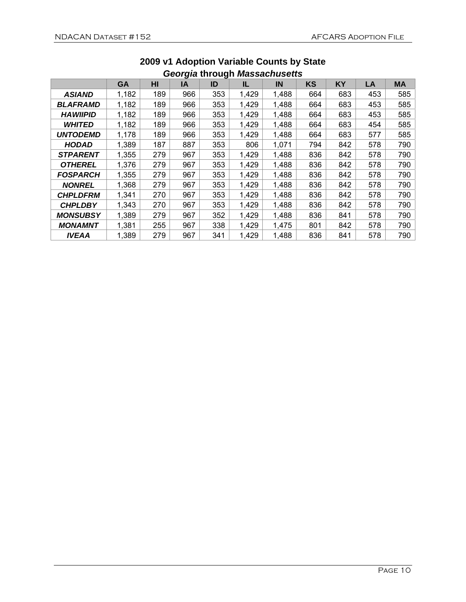|                 | <b>GA</b> | HI  | ◡<br>IA | o<br>ID | IL    | IN    | <b>KS</b> | KY  | LA  | <b>MA</b> |
|-----------------|-----------|-----|---------|---------|-------|-------|-----------|-----|-----|-----------|
| <b>ASIAND</b>   | 1,182     | 189 | 966     | 353     | 1,429 | 1,488 | 664       | 683 | 453 | 585       |
| <b>BLAFRAMD</b> | 1,182     | 189 | 966     | 353     | 1,429 | 1,488 | 664       | 683 | 453 | 585       |
| <b>HAWIIPID</b> | 1,182     | 189 | 966     | 353     | 1,429 | 1,488 | 664       | 683 | 453 | 585       |
| <b>WHITED</b>   | 1,182     | 189 | 966     | 353     | 1,429 | 1,488 | 664       | 683 | 454 | 585       |
| <b>UNTODEMD</b> | 1,178     | 189 | 966     | 353     | 1,429 | 1,488 | 664       | 683 | 577 | 585       |
| <b>HODAD</b>    | 1,389     | 187 | 887     | 353     | 806   | 1,071 | 794       | 842 | 578 | 790       |
| <b>STPARENT</b> | 1,355     | 279 | 967     | 353     | 1,429 | 1,488 | 836       | 842 | 578 | 790       |
| <b>OTHEREL</b>  | 1,376     | 279 | 967     | 353     | 1,429 | 1,488 | 836       | 842 | 578 | 790       |
| <b>FOSPARCH</b> | 1,355     | 279 | 967     | 353     | 1,429 | 1,488 | 836       | 842 | 578 | 790       |
| <b>NONREL</b>   | 1,368     | 279 | 967     | 353     | 1,429 | 1,488 | 836       | 842 | 578 | 790       |
| <b>CHPLDFRM</b> | 1,341     | 270 | 967     | 353     | 1,429 | 1,488 | 836       | 842 | 578 | 790       |
| <b>CHPLDBY</b>  | 1,343     | 270 | 967     | 353     | 1,429 | 1,488 | 836       | 842 | 578 | 790       |
| <b>MONSUBSY</b> | 1,389     | 279 | 967     | 352     | 1,429 | 1,488 | 836       | 841 | 578 | 790       |
| <b>MONAMNT</b>  | 1,381     | 255 | 967     | 338     | 1,429 | 1,475 | 801       | 842 | 578 | 790       |
| <b>IVEAA</b>    | 1,389     | 279 | 967     | 341     | 1,429 | 1,488 | 836       | 841 | 578 | 790       |

#### **2009 v1 Adoption Variable Counts by State**  *Georgia* **through** *Massachusetts*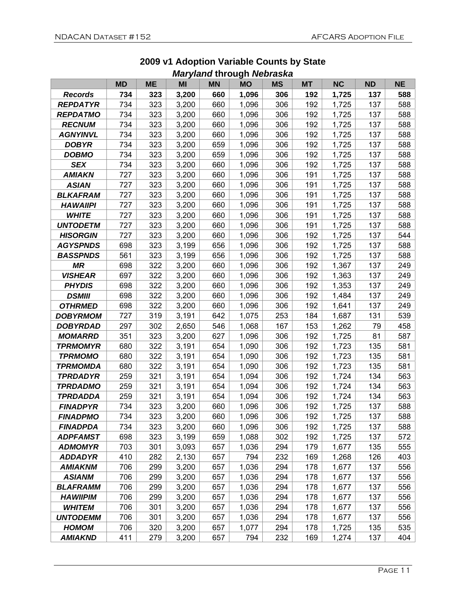|                 | <b>MD</b> | <b>ME</b> | <i></i><br>MI | .<br><b>MN</b> | <br><b>MO</b> | <b>MS</b> | <b>MT</b> | <b>NC</b> | <b>ND</b> | <b>NE</b> |
|-----------------|-----------|-----------|---------------|----------------|---------------|-----------|-----------|-----------|-----------|-----------|
| <b>Records</b>  | 734       | 323       | 3,200         | 660            | 1,096         | 306       | 192       | 1,725     | 137       | 588       |
| <b>REPDATYR</b> | 734       | 323       | 3,200         | 660            | 1,096         | 306       | 192       | 1,725     | 137       | 588       |
| <b>REPDATMO</b> | 734       | 323       | 3,200         | 660            | 1,096         | 306       | 192       | 1,725     | 137       | 588       |
| <b>RECNUM</b>   | 734       | 323       | 3,200         | 660            | 1,096         | 306       | 192       | 1,725     | 137       | 588       |
| <b>AGNYINVL</b> | 734       | 323       | 3,200         | 660            | 1,096         | 306       | 192       | 1,725     | 137       | 588       |
| <b>DOBYR</b>    | 734       | 323       | 3,200         | 659            | 1,096         | 306       | 192       | 1,725     | 137       | 588       |
| <b>DOBMO</b>    | 734       | 323       | 3,200         | 659            | 1,096         | 306       | 192       | 1,725     | 137       | 588       |
| <b>SEX</b>      | 734       | 323       | 3,200         | 660            | 1,096         | 306       | 192       | 1,725     | 137       | 588       |
| <b>AMIAKN</b>   | 727       | 323       | 3,200         | 660            | 1,096         | 306       | 191       | 1,725     | 137       | 588       |
| <b>ASIAN</b>    | 727       | 323       | 3,200         | 660            | 1,096         | 306       | 191       | 1,725     | 137       | 588       |
| <b>BLKAFRAM</b> | 727       | 323       | 3,200         | 660            | 1,096         | 306       | 191       | 1,725     | 137       | 588       |
| <b>HAWAIIPI</b> | 727       | 323       | 3,200         | 660            | 1,096         | 306       | 191       | 1,725     | 137       | 588       |
| <b>WHITE</b>    | 727       | 323       | 3,200         | 660            | 1,096         | 306       | 191       | 1,725     | 137       | 588       |
| <b>UNTODETM</b> | 727       | 323       | 3,200         | 660            | 1,096         | 306       | 191       | 1,725     | 137       | 588       |
| <b>HISORGIN</b> | 727       | 323       | 3,200         | 660            | 1,096         | 306       | 192       | 1,725     | 137       | 544       |
| <b>AGYSPNDS</b> | 698       | 323       | 3,199         | 656            | 1,096         | 306       | 192       | 1,725     | 137       | 588       |
| <b>BASSPNDS</b> | 561       | 323       | 3,199         | 656            | 1,096         | 306       | 192       | 1,725     | 137       | 588       |
| <b>MR</b>       | 698       | 322       | 3,200         | 660            | 1,096         | 306       | 192       | 1,367     | 137       | 249       |
| <b>VISHEAR</b>  | 697       | 322       | 3,200         | 660            | 1,096         | 306       | 192       | 1,363     | 137       | 249       |
| <b>PHYDIS</b>   | 698       | 322       | 3,200         | 660            | 1,096         | 306       | 192       | 1,353     | 137       | 249       |
| <b>DSMIII</b>   | 698       | 322       | 3,200         | 660            | 1,096         | 306       | 192       | 1,484     | 137       | 249       |
| <b>OTHRMED</b>  | 698       | 322       | 3,200         | 660            | 1,096         | 306       | 192       | 1,641     | 137       | 249       |
| <b>DOBYRMOM</b> | 727       | 319       | 3,191         | 642            | 1,075         | 253       | 184       | 1,687     | 131       | 539       |
| <b>DOBYRDAD</b> | 297       | 302       | 2,650         | 546            | 1,068         | 167       | 153       | 1,262     | 79        | 458       |
| <b>MOMARRD</b>  | 351       | 323       | 3,200         | 627            | 1,096         | 306       | 192       | 1,725     | 81        | 587       |
| <b>TPRMOMYR</b> | 680       | 322       | 3,191         | 654            | 1,090         | 306       | 192       | 1,723     | 135       | 581       |
| <b>TPRMOMO</b>  | 680       | 322       | 3,191         | 654            | 1,090         | 306       | 192       | 1,723     | 135       | 581       |
| <b>TPRMOMDA</b> | 680       | 322       | 3,191         | 654            | 1,090         | 306       | 192       | 1,723     | 135       | 581       |
| <b>TPRDADYR</b> | 259       | 321       | 3,191         | 654            | 1,094         | 306       | 192       | 1,724     | 134       | 563       |
| <b>TPRDADMO</b> | 259       | 321       | 3,191         | 654            | 1,094         | 306       | 192       | 1,724     | 134       | 563       |
| <b>TPRDADDA</b> | 259       | 321       | 3,191         | 654            | 1,094         | 306       | 192       | 1,724     | 134       | 563       |
| <b>FINADPYR</b> | 734       | 323       | 3,200         | 660            | 1,096         | 306       | 192       | 1,725     | 137       | 588       |
| <b>FINADPMO</b> | 734       | 323       | 3,200         | 660            | 1,096         | 306       | 192       | 1,725     | 137       | 588       |
| <b>FINADPDA</b> | 734       | 323       | 3,200         | 660            | 1,096         | 306       | 192       | 1,725     | 137       | 588       |
| <b>ADPFAMST</b> | 698       | 323       | 3,199         | 659            | 1,088         | 302       | 192       | 1,725     | 137       | 572       |
| <b>ADMOMYR</b>  | 703       | 301       | 3,093         | 657            | 1,036         | 294       | 179       | 1,677     | 135       | 555       |
| <b>ADDADYR</b>  | 410       | 282       | 2,130         | 657            | 794           | 232       | 169       | 1,268     | 126       | 403       |
| <b>AMIAKNM</b>  | 706       | 299       | 3,200         | 657            | 1,036         | 294       | 178       | 1,677     | 137       | 556       |
| <b>ASIANM</b>   | 706       | 299       | 3,200         | 657            | 1,036         | 294       | 178       | 1,677     | 137       | 556       |
| <b>BLAFRAMM</b> | 706       | 299       | 3,200         | 657            | 1,036         | 294       | 178       | 1,677     | 137       | 556       |
| <b>HAWIIPIM</b> | 706       | 299       | 3,200         | 657            | 1,036         | 294       | 178       | 1,677     | 137       | 556       |
| <b>WHITEM</b>   | 706       | 301       | 3,200         | 657            | 1,036         | 294       | 178       | 1,677     | 137       | 556       |
| <b>UNTODEMM</b> | 706       | 301       | 3,200         | 657            | 1,036         | 294       | 178       | 1,677     | 137       | 556       |
| <b>HOMOM</b>    | 706       | 320       | 3,200         | 657            | 1,077         | 294       | 178       | 1,725     | 135       | 535       |
| <b>AMIAKND</b>  | 411       | 279       | 3,200         | 657            | 794           | 232       | 169       | 1,274     | 137       | 404       |

#### **2009 v1 Adoption Variable Counts by State**  *Maryland* **through** *Nebraska*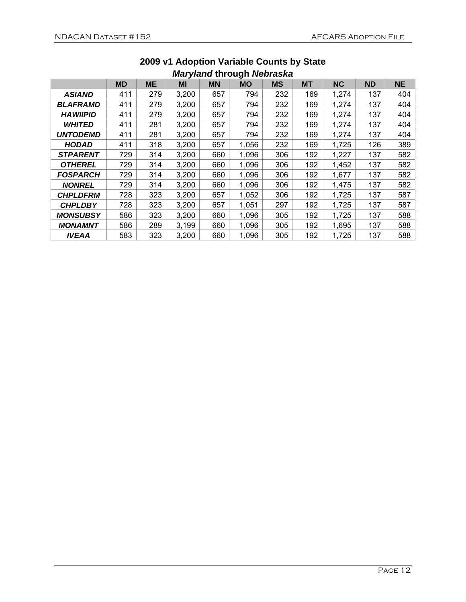| ************************* |           |           |       |           |           |           |           |           |           |           |  |
|---------------------------|-----------|-----------|-------|-----------|-----------|-----------|-----------|-----------|-----------|-----------|--|
|                           | <b>MD</b> | <b>ME</b> | MI    | <b>MN</b> | <b>MO</b> | <b>MS</b> | <b>MT</b> | <b>NC</b> | <b>ND</b> | <b>NE</b> |  |
| <b>ASIAND</b>             | 411       | 279       | 3,200 | 657       | 794       | 232       | 169       | 1,274     | 137       | 404       |  |
| <b>BLAFRAMD</b>           | 411       | 279       | 3,200 | 657       | 794       | 232       | 169       | 1,274     | 137       | 404       |  |
| <b>HAWIIPID</b>           | 411       | 279       | 3,200 | 657       | 794       | 232       | 169       | 1,274     | 137       | 404       |  |
| <b>WHITED</b>             | 411       | 281       | 3,200 | 657       | 794       | 232       | 169       | 1,274     | 137       | 404       |  |
| <b>UNTODEMD</b>           | 411       | 281       | 3,200 | 657       | 794       | 232       | 169       | 1,274     | 137       | 404       |  |
| <b>HODAD</b>              | 411       | 318       | 3,200 | 657       | 1,056     | 232       | 169       | 1,725     | 126       | 389       |  |
| <b>STPARENT</b>           | 729       | 314       | 3,200 | 660       | 1,096     | 306       | 192       | 1,227     | 137       | 582       |  |
| <b>OTHEREL</b>            | 729       | 314       | 3,200 | 660       | 1,096     | 306       | 192       | 1,452     | 137       | 582       |  |
| <b>FOSPARCH</b>           | 729       | 314       | 3,200 | 660       | 1,096     | 306       | 192       | 1,677     | 137       | 582       |  |
| <b>NONREL</b>             | 729       | 314       | 3,200 | 660       | 1,096     | 306       | 192       | 1,475     | 137       | 582       |  |
| <b>CHPLDFRM</b>           | 728       | 323       | 3,200 | 657       | 1,052     | 306       | 192       | 1,725     | 137       | 587       |  |
| <b>CHPLDBY</b>            | 728       | 323       | 3,200 | 657       | 1,051     | 297       | 192       | 1,725     | 137       | 587       |  |
| <b>MONSUBSY</b>           | 586       | 323       | 3,200 | 660       | 1,096     | 305       | 192       | 1,725     | 137       | 588       |  |
| <b>MONAMNT</b>            | 586       | 289       | 3,199 | 660       | 1,096     | 305       | 192       | 1,695     | 137       | 588       |  |
| <b>IVEAA</b>              | 583       | 323       | 3,200 | 660       | 1,096     | 305       | 192       | 1,725     | 137       | 588       |  |

#### **2009 v1 Adoption Variable Counts by State**  *Maryland* **through** *Nebraska*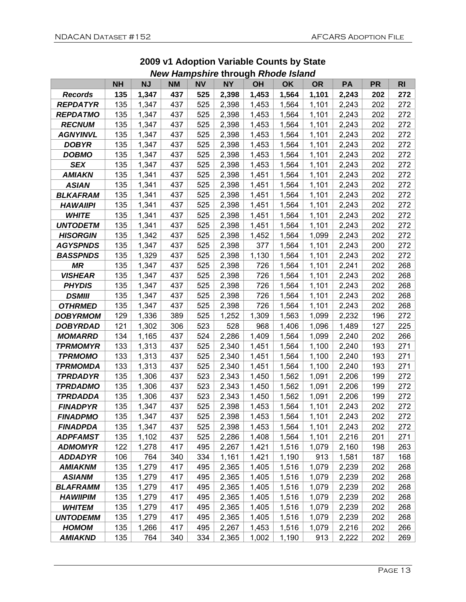|                 | <b>NH</b> | <b>NJ</b> | <b>NM</b> | <b>NV</b> | <b>NY</b> | <b>OH</b> | <b>OK</b> | <b>OR</b> | PA    | <b>PR</b> | R <sub>l</sub> |
|-----------------|-----------|-----------|-----------|-----------|-----------|-----------|-----------|-----------|-------|-----------|----------------|
| <b>Records</b>  | 135       | 1,347     | 437       | 525       | 2,398     | 1,453     | 1,564     | 1,101     | 2,243 | 202       | 272            |
| <b>REPDATYR</b> | 135       | 1,347     | 437       | 525       | 2,398     | 1,453     | 1,564     | 1,101     | 2,243 | 202       | 272            |
| <b>REPDATMO</b> | 135       | 1,347     | 437       | 525       | 2,398     | 1,453     | 1,564     | 1,101     | 2,243 | 202       | 272            |
| <b>RECNUM</b>   | 135       | 1,347     | 437       | 525       | 2,398     | 1,453     | 1,564     | 1,101     | 2,243 | 202       | 272            |
| <b>AGNYINVL</b> | 135       | 1,347     | 437       | 525       | 2,398     | 1,453     | 1,564     | 1,101     | 2,243 | 202       | 272            |
| <b>DOBYR</b>    | 135       | 1,347     | 437       | 525       | 2,398     | 1,453     | 1,564     | 1,101     | 2,243 | 202       | 272            |
| <b>DOBMO</b>    | 135       | 1,347     | 437       | 525       | 2,398     | 1,453     | 1,564     | 1,101     | 2,243 | 202       | 272            |
| <b>SEX</b>      | 135       | 1,347     | 437       | 525       | 2,398     | 1,453     | 1,564     | 1,101     | 2,243 | 202       | 272            |
| <b>AMIAKN</b>   | 135       | 1,341     | 437       | 525       | 2,398     | 1,451     | 1,564     | 1,101     | 2,243 | 202       | 272            |
| <b>ASIAN</b>    | 135       | 1,341     | 437       | 525       | 2,398     | 1,451     | 1,564     | 1,101     | 2,243 | 202       | 272            |
| <b>BLKAFRAM</b> | 135       | 1,341     | 437       | 525       | 2,398     | 1,451     | 1,564     | 1,101     | 2,243 | 202       | 272            |
| <b>HAWAIIPI</b> | 135       | 1,341     | 437       | 525       | 2,398     | 1,451     | 1,564     | 1,101     | 2,243 | 202       | 272            |
| <b>WHITE</b>    | 135       | 1,341     | 437       | 525       | 2,398     | 1,451     | 1,564     | 1,101     | 2,243 | 202       | 272            |
| <b>UNTODETM</b> | 135       | 1,341     | 437       | 525       | 2,398     | 1,451     | 1,564     | 1,101     | 2,243 | 202       | 272            |
| <b>HISORGIN</b> | 135       | 1,342     | 437       | 525       | 2,398     | 1,452     | 1,564     | 1,099     | 2,243 | 202       | 272            |
| <b>AGYSPNDS</b> | 135       | 1,347     | 437       | 525       | 2,398     | 377       | 1,564     | 1,101     | 2,243 | 200       | 272            |
| <b>BASSPNDS</b> | 135       | 1,329     | 437       | 525       | 2,398     | 1,130     | 1,564     | 1,101     | 2,243 | 202       | 272            |
| <b>MR</b>       | 135       | 1,347     | 437       | 525       | 2,398     | 726       | 1,564     | 1,101     | 2,241 | 202       | 268            |
| <b>VISHEAR</b>  | 135       | 1,347     | 437       | 525       | 2,398     | 726       | 1,564     | 1,101     | 2,243 | 202       | 268            |
| <b>PHYDIS</b>   | 135       | 1,347     | 437       | 525       | 2,398     | 726       | 1,564     | 1,101     | 2,243 | 202       | 268            |
| <b>DSMIII</b>   | 135       | 1,347     | 437       | 525       | 2,398     | 726       | 1,564     | 1,101     | 2,243 | 202       | 268            |
| <b>OTHRMED</b>  | 135       | 1,347     | 437       | 525       | 2,398     | 726       | 1,564     | 1,101     | 2,243 | 202       | 268            |
| <b>DOBYRMOM</b> | 129       | 1,336     | 389       | 525       | 1,252     | 1,309     | 1,563     | 1,099     | 2,232 | 196       | 272            |
| <b>DOBYRDAD</b> | 121       | 1,302     | 306       | 523       | 528       | 968       | 1,406     | 1,096     | 1,489 | 127       | 225            |
| <b>MOMARRD</b>  | 134       | 1,165     | 437       | 524       | 2,286     | 1,409     | 1,564     | 1,099     | 2,240 | 202       | 266            |
| <b>TPRMOMYR</b> | 133       | 1,313     | 437       | 525       | 2,340     | 1,451     | 1,564     | 1,100     | 2,240 | 193       | 271            |
| <b>TPRMOMO</b>  | 133       | 1,313     | 437       | 525       | 2,340     | 1,451     | 1,564     | 1,100     | 2,240 | 193       | 271            |
| <b>TPRMOMDA</b> | 133       | 1,313     | 437       | 525       | 2,340     | 1,451     | 1,564     | 1,100     | 2,240 | 193       | 271            |
| <b>TPRDADYR</b> | 135       | 1,306     | 437       | 523       | 2,343     | 1,450     | 1,562     | 1,091     | 2,206 | 199       | 272            |
| <b>TPRDADMO</b> | 135       | 1,306     | 437       | 523       | 2,343     | 1,450     | 1,562     | 1,091     | 2,206 | 199       | 272            |
| TPRDADDA        | 135       | 1,306     | 437       | 523       | 2,343     | 1,450     | 1,562     | 1,091     | 2,206 | 199       | 272            |
| <b>FINADPYR</b> | 135       | 1,347     | 437       | 525       | 2,398     | 1,453     | 1,564     | 1,101     | 2,243 | 202       | 272            |
| <b>FINADPMO</b> | 135       | 1,347     | 437       | 525       | 2,398     | 1,453     | 1,564     | 1,101     | 2,243 | 202       | 272            |
| <b>FINADPDA</b> | 135       | 1,347     | 437       | 525       | 2,398     | 1,453     | 1,564     | 1,101     | 2,243 | 202       | 272            |
| <b>ADPFAMST</b> | 135       | 1,102     | 437       | 525       | 2,286     | 1,408     | 1,564     | 1,101     | 2,216 | 201       | 271            |
| <b>ADMOMYR</b>  | 122       | 1,278     | 417       | 495       | 2,267     | 1,421     | 1,516     | 1,079     | 2,160 | 198       | 263            |
| <b>ADDADYR</b>  | 106       | 764       | 340       | 334       | 1,161     | 1,421     | 1,190     | 913       | 1,581 | 187       | 168            |
| <b>AMIAKNM</b>  | 135       | 1,279     | 417       | 495       | 2,365     | 1,405     | 1,516     | 1,079     | 2,239 | 202       | 268            |
| <b>ASIANM</b>   | 135       | 1,279     | 417       | 495       | 2,365     | 1,405     | 1,516     | 1,079     | 2,239 | 202       | 268            |
| <b>BLAFRAMM</b> | 135       | 1,279     | 417       | 495       | 2,365     | 1,405     | 1,516     | 1,079     | 2,239 | 202       | 268            |
| <b>HAWIIPIM</b> | 135       | 1,279     | 417       | 495       | 2,365     | 1,405     | 1,516     | 1,079     | 2,239 | 202       | 268            |
| <b>WHITEM</b>   | 135       | 1,279     | 417       | 495       | 2,365     | 1,405     | 1,516     | 1,079     | 2,239 | 202       | 268            |
| <b>UNTODEMM</b> | 135       | 1,279     | 417       | 495       | 2,365     | 1,405     | 1,516     | 1,079     | 2,239 | 202       | 268            |
| <b>HOMOM</b>    | 135       | 1,266     | 417       | 495       | 2,267     | 1,453     | 1,516     | 1,079     | 2,216 | 202       | 266            |
| <b>AMIAKND</b>  | 135       | 764       | 340       | 334       | 2,365     | 1,002     | 1,190     | 913       | 2,222 | 202       | 269            |

#### **2009 v1 Adoption Variable Counts by State**  *New Hampshire* **through** *Rhode Island*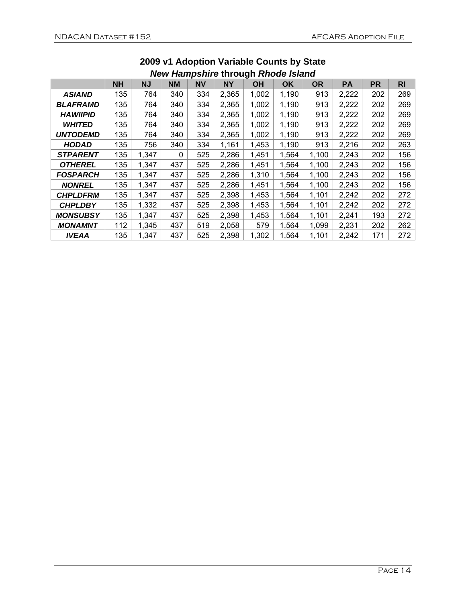| New Hampshire through Knoge Island |           |           |              |           |           |       |       |           |           |           |                |
|------------------------------------|-----------|-----------|--------------|-----------|-----------|-------|-------|-----------|-----------|-----------|----------------|
|                                    | <b>NH</b> | <b>NJ</b> | <b>NM</b>    | <b>NV</b> | <b>NY</b> | OH    | OK    | <b>OR</b> | <b>PA</b> | <b>PR</b> | R <sub>l</sub> |
| <b>ASIAND</b>                      | 135       | 764       | 340          | 334       | 2,365     | 1,002 | 1,190 | 913       | 2,222     | 202       | 269            |
| <b>BLAFRAMD</b>                    | 135       | 764       | 340          | 334       | 2,365     | 1,002 | 1,190 | 913       | 2,222     | 202       | 269            |
| <b>HAWIIPID</b>                    | 135       | 764       | 340          | 334       | 2,365     | 1,002 | 1,190 | 913       | 2,222     | 202       | 269            |
| <b>WHITED</b>                      | 135       | 764       | 340          | 334       | 2,365     | 1,002 | 1,190 | 913       | 2,222     | 202       | 269            |
| <b>UNTODEMD</b>                    | 135       | 764       | 340          | 334       | 2,365     | 1,002 | 1,190 | 913       | 2,222     | 202       | 269            |
| <b>HODAD</b>                       | 135       | 756       | 340          | 334       | 1,161     | 1,453 | 1,190 | 913       | 2,216     | 202       | 263            |
| <b>STPARENT</b>                    | 135       | 1,347     | $\mathbf{0}$ | 525       | 2,286     | 1,451 | 1,564 | 1,100     | 2,243     | 202       | 156            |
| <b>OTHEREL</b>                     | 135       | 1,347     | 437          | 525       | 2,286     | 1,451 | 1,564 | 1,100     | 2,243     | 202       | 156            |
| <b>FOSPARCH</b>                    | 135       | 1,347     | 437          | 525       | 2,286     | 1,310 | 1,564 | 1,100     | 2,243     | 202       | 156            |
| <b>NONREL</b>                      | 135       | 1,347     | 437          | 525       | 2,286     | 1,451 | 1,564 | 1,100     | 2,243     | 202       | 156            |
| <b>CHPLDFRM</b>                    | 135       | 1,347     | 437          | 525       | 2,398     | 1,453 | 1,564 | 1,101     | 2,242     | 202       | 272            |
| <b>CHPLDBY</b>                     | 135       | 1,332     | 437          | 525       | 2,398     | 1,453 | 1,564 | 1,101     | 2,242     | 202       | 272            |
| <b>MONSUBSY</b>                    | 135       | 1,347     | 437          | 525       | 2,398     | 1,453 | 1,564 | 1,101     | 2,241     | 193       | 272            |
| <b>MONAMNT</b>                     | 112       | 1,345     | 437          | 519       | 2,058     | 579   | 1,564 | 1,099     | 2,231     | 202       | 262            |
| <b>IVEAA</b>                       | 135       | 1,347     | 437          | 525       | 2,398     | 1,302 | 1,564 | 1,101     | 2,242     | 171       | 272            |

#### **2009 v1 Adoption Variable Counts by State**  *New Hampshire* **through** *Rhode Island*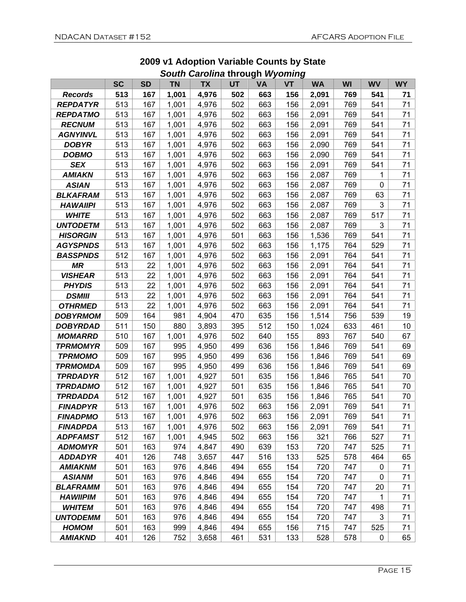|                 |           |           |           | Varvinia un vugu <i>vryvinni</i> g |     |           |           |           |           |              |           |
|-----------------|-----------|-----------|-----------|------------------------------------|-----|-----------|-----------|-----------|-----------|--------------|-----------|
|                 | <b>SC</b> | <b>SD</b> | <b>TN</b> | <b>TX</b>                          | UT  | <b>VA</b> | <b>VT</b> | <b>WA</b> | <b>WI</b> | <b>WV</b>    | <b>WY</b> |
| <b>Records</b>  | 513       | 167       | 1,001     | 4,976                              | 502 | 663       | 156       | 2,091     | 769       | 541          | 71        |
| <b>REPDATYR</b> | 513       | 167       | 1,001     | 4,976                              | 502 | 663       | 156       | 2,091     | 769       | 541          | 71        |
| <b>REPDATMO</b> | 513       | 167       | 1,001     | 4,976                              | 502 | 663       | 156       | 2,091     | 769       | 541          | 71        |
| <b>RECNUM</b>   | 513       | 167       | 1,001     | 4,976                              | 502 | 663       | 156       | 2,091     | 769       | 541          | 71        |
| <b>AGNYINVL</b> | 513       | 167       | 1,001     | 4,976                              | 502 | 663       | 156       | 2,091     | 769       | 541          | 71        |
| <b>DOBYR</b>    | 513       | 167       | 1,001     | 4,976                              | 502 | 663       | 156       | 2,090     | 769       | 541          | 71        |
| <b>DOBMO</b>    | 513       | 167       | 1,001     | 4,976                              | 502 | 663       | 156       | 2,090     | 769       | 541          | 71        |
| <b>SEX</b>      | 513       | 167       | 1,001     | 4,976                              | 502 | 663       | 156       | 2,091     | 769       | 541          | 71        |
| <b>AMIAKN</b>   | 513       | 167       | 1,001     | 4,976                              | 502 | 663       | 156       | 2,087     | 769       | 1            | 71        |
| <b>ASIAN</b>    | 513       | 167       | 1,001     | 4,976                              | 502 | 663       | 156       | 2,087     | 769       | 0            | 71        |
| <b>BLKAFRAM</b> | 513       | 167       | 1,001     | 4,976                              | 502 | 663       | 156       | 2,087     | 769       | 63           | 71        |
| <b>HAWAIIPI</b> | 513       | 167       | 1,001     | 4,976                              | 502 | 663       | 156       | 2,087     | 769       | $\mathbf{3}$ | 71        |
| <b>WHITE</b>    | 513       | 167       | 1,001     | 4,976                              | 502 | 663       | 156       | 2,087     | 769       | 517          | 71        |
| <b>UNTODETM</b> | 513       | 167       | 1,001     | 4,976                              | 502 | 663       | 156       | 2,087     | 769       | 3            | 71        |
| <b>HISORGIN</b> | 513       | 167       | 1,001     | 4,976                              | 501 | 663       | 156       | 1,536     | 769       | 541          | 71        |
| <b>AGYSPNDS</b> | 513       | 167       | 1,001     | 4,976                              | 502 | 663       | 156       | 1,175     | 764       | 529          | 71        |
| <b>BASSPNDS</b> | 512       | 167       | 1,001     | 4,976                              | 502 | 663       | 156       | 2,091     | 764       | 541          | 71        |
| ΜR              | 513       | 22        | 1,001     | 4,976                              | 502 | 663       | 156       | 2,091     | 764       | 541          | 71        |
| <b>VISHEAR</b>  | 513       | 22        | 1,001     | 4,976                              | 502 | 663       | 156       | 2,091     | 764       | 541          | 71        |
| <b>PHYDIS</b>   | 513       | 22        | 1,001     | 4,976                              | 502 | 663       | 156       | 2,091     | 764       | 541          | 71        |
| <b>DSMIII</b>   | 513       | 22        | 1,001     | 4,976                              | 502 | 663       | 156       | 2,091     | 764       | 541          | 71        |
| <b>OTHRMED</b>  | 513       | 22        | 1,001     | 4,976                              | 502 | 663       | 156       | 2,091     | 764       | 541          | 71        |
| <b>DOBYRMOM</b> | 509       | 164       | 981       | 4,904                              | 470 | 635       | 156       | 1,514     | 756       | 539          | 19        |
| <b>DOBYRDAD</b> | 511       | 150       | 880       | 3,893                              | 395 | 512       | 150       | 1,024     | 633       | 461          | 10        |
| <b>MOMARRD</b>  | 510       | 167       | 1,001     | 4,976                              | 502 | 640       | 155       | 893       | 767       | 540          | 67        |
| <b>TPRMOMYR</b> | 509       | 167       | 995       | 4,950                              | 499 | 636       | 156       | 1,846     | 769       | 541          | 69        |
| <b>TPRMOMO</b>  | 509       | 167       | 995       | 4,950                              | 499 | 636       | 156       | 1,846     | 769       | 541          | 69        |
| <b>TPRMOMDA</b> | 509       | 167       | 995       | 4,950                              | 499 | 636       | 156       | 1,846     | 769       | 541          | 69        |
| <b>TPRDADYR</b> | 512       | 167       | 1,001     | 4,927                              | 501 | 635       | 156       | 1,846     | 765       | 541          | 70        |
| <b>TPRDADMO</b> | 512       | 167       | 1,001     | 4,927                              | 501 | 635       | 156       | 1,846     | 765       | 541          | 70        |
| <b>TPRDADDA</b> | 512       | 167       | 1,001     | 4,927                              | 501 | 635       | 156       | 1,846     | 765       | 541          | 70        |
| <b>FINADPYR</b> | 513       | 167       | 1,001     | 4,976                              | 502 | 663       | 156       | 2,091     | 769       | 541          | 71        |
| <b>FINADPMO</b> | 513       | 167       | 1,001     | 4,976                              | 502 | 663       | 156       | 2,091     | 769       | 541          | 71        |
| <b>FINADPDA</b> | 513       | 167       | 1,001     | 4,976                              | 502 | 663       | 156       | 2,091     | 769       | 541          | 71        |
| <b>ADPFAMST</b> | 512       | 167       | 1,001     | 4,945                              | 502 | 663       | 156       | 321       | 766       | 527          | 71        |
| <b>ADMOMYR</b>  | 501       | 163       | 974       | 4,847                              | 490 | 639       | 153       | 720       | 747       | 525          | 71        |
| <b>ADDADYR</b>  | 401       | 126       | 748       | 3,657                              | 447 | 516       | 133       | 525       | 578       | 464          | 65        |
| <b>AMIAKNM</b>  | 501       | 163       | 976       | 4,846                              | 494 | 655       | 154       | 720       | 747       | 0            | 71        |
| <b>ASIANM</b>   | 501       | 163       | 976       | 4,846                              | 494 | 655       | 154       | 720       | 747       | 0            | 71        |
| <b>BLAFRAMM</b> | 501       | 163       | 976       | 4,846                              | 494 | 655       | 154       | 720       | 747       | 20           | 71        |
| <b>HAWIIPIM</b> | 501       | 163       | 976       | 4,846                              | 494 | 655       | 154       | 720       | 747       | 1            | 71        |
| <b>WHITEM</b>   | 501       | 163       | 976       | 4,846                              | 494 | 655       | 154       | 720       | 747       | 498          | 71        |
| <b>UNTODEMM</b> | 501       | 163       | 976       | 4,846                              | 494 | 655       | 154       | 720       | 747       | 3            | 71        |
| <b>HOMOM</b>    | 501       | 163       | 999       | 4,846                              | 494 | 655       | 156       | 715       | 747       | 525          | 71        |
| <b>AMIAKND</b>  | 401       | 126       | 752       | 3,658                              | 461 | 531       | 133       | 528       | 578       | 0            | 65        |

#### **2009 v1 Adoption Variable Counts by State**  *South Carolina* **through** *Wyoming*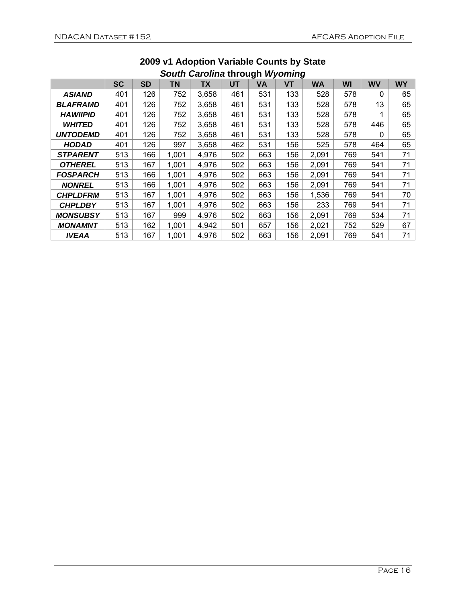|                 | <del>---</del> -----<br>-9.1.1 |           |       |           |     |     |     |           |     |              |           |
|-----------------|--------------------------------|-----------|-------|-----------|-----|-----|-----|-----------|-----|--------------|-----------|
|                 | SC                             | <b>SD</b> | ΤN    | <b>TX</b> | UT  | VA  | VT  | <b>WA</b> | WI  | <b>WV</b>    | <b>WY</b> |
| <b>ASIAND</b>   | 401                            | 126       | 752   | 3,658     | 461 | 531 | 133 | 528       | 578 | $\mathbf{0}$ | 65        |
| <b>BLAFRAMD</b> | 401                            | 126       | 752   | 3,658     | 461 | 531 | 133 | 528       | 578 | 13           | 65        |
| <b>HAWIIPID</b> | 401                            | 126       | 752   | 3,658     | 461 | 531 | 133 | 528       | 578 |              | 65        |
| <b>WHITED</b>   | 401                            | 126       | 752   | 3,658     | 461 | 531 | 133 | 528       | 578 | 446          | 65        |
| <b>UNTODEMD</b> | 401                            | 126       | 752   | 3,658     | 461 | 531 | 133 | 528       | 578 | $\Omega$     | 65        |
| <b>HODAD</b>    | 401                            | 126       | 997   | 3,658     | 462 | 531 | 156 | 525       | 578 | 464          | 65        |
| <b>STPARENT</b> | 513                            | 166       | 1,001 | 4,976     | 502 | 663 | 156 | 2,091     | 769 | 541          | 71        |
| <b>OTHEREL</b>  | 513                            | 167       | 1,001 | 4,976     | 502 | 663 | 156 | 2,091     | 769 | 541          | 71        |
| <b>FOSPARCH</b> | 513                            | 166       | 1,001 | 4,976     | 502 | 663 | 156 | 2,091     | 769 | 541          | 71        |
| <b>NONREL</b>   | 513                            | 166       | 1,001 | 4,976     | 502 | 663 | 156 | 2,091     | 769 | 541          | 71        |
| <b>CHPLDFRM</b> | 513                            | 167       | 1,001 | 4,976     | 502 | 663 | 156 | 1,536     | 769 | 541          | 70        |
| <b>CHPLDBY</b>  | 513                            | 167       | 1,001 | 4,976     | 502 | 663 | 156 | 233       | 769 | 541          | 71        |
| <b>MONSUBSY</b> | 513                            | 167       | 999   | 4,976     | 502 | 663 | 156 | 2,091     | 769 | 534          | 71        |
| <b>MONAMNT</b>  | 513                            | 162       | 1,001 | 4,942     | 501 | 657 | 156 | 2,021     | 752 | 529          | 67        |
| <b>IVEAA</b>    | 513                            | 167       | 1,001 | 4,976     | 502 | 663 | 156 | 2,091     | 769 | 541          | 71        |

#### **2009 v1 Adoption Variable Counts by State**  *South Carolina* **through** *Wyoming*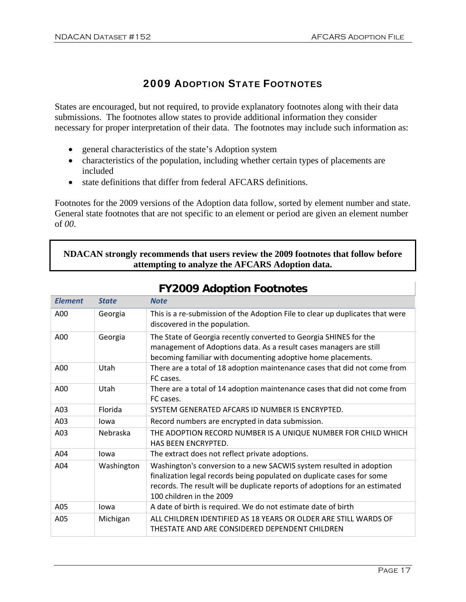## 2009 ADOPTION STATE FOOTNOTES

States are encouraged, but not required, to provide explanatory footnotes along with their data submissions. The footnotes allow states to provide additional information they consider necessary for proper interpretation of their data. The footnotes may include such information as:

- general characteristics of the state's Adoption system
- characteristics of the population, including whether certain types of placements are included
- state definitions that differ from federal AFCARS definitions.

Footnotes for the 2009 versions of the Adoption data follow, sorted by element number and state. General state footnotes that are not specific to an element or period are given an element number of *00*.

#### **NDACAN strongly recommends that users review the 2009 footnotes that follow before attempting to analyze the AFCARS Adoption data.**

| <b>Element</b> | <b>State</b> | <b>Note</b>                                                                                                                                                                                                                                              |
|----------------|--------------|----------------------------------------------------------------------------------------------------------------------------------------------------------------------------------------------------------------------------------------------------------|
| A00            | Georgia      | This is a re-submission of the Adoption File to clear up duplicates that were<br>discovered in the population.                                                                                                                                           |
| A00            | Georgia      | The State of Georgia recently converted to Georgia SHINES for the<br>management of Adoptions data. As a result cases managers are still<br>becoming familiar with documenting adoptive home placements.                                                  |
| A00            | Utah         | There are a total of 18 adoption maintenance cases that did not come from<br>FC cases.                                                                                                                                                                   |
| A00            | Utah         | There are a total of 14 adoption maintenance cases that did not come from<br>FC cases.                                                                                                                                                                   |
| A03            | Florida      | SYSTEM GENERATED AFCARS ID NUMBER IS ENCRYPTED.                                                                                                                                                                                                          |
| A03            | lowa         | Record numbers are encrypted in data submission.                                                                                                                                                                                                         |
| A03            | Nebraska     | THE ADOPTION RECORD NUMBER IS A UNIQUE NUMBER FOR CHILD WHICH<br><b>HAS BEEN ENCRYPTED.</b>                                                                                                                                                              |
| A04            | lowa         | The extract does not reflect private adoptions.                                                                                                                                                                                                          |
| A04            | Washington   | Washington's conversion to a new SACWIS system resulted in adoption<br>finalization legal records being populated on duplicate cases for some<br>records. The result will be duplicate reports of adoptions for an estimated<br>100 children in the 2009 |
| A05            | lowa         | A date of birth is required. We do not estimate date of birth                                                                                                                                                                                            |
| A05            | Michigan     | ALL CHILDREN IDENTIFIED AS 18 YEARS OR OLDER ARE STILL WARDS OF<br>THESTATE AND ARE CONSIDERED DEPENDENT CHILDREN                                                                                                                                        |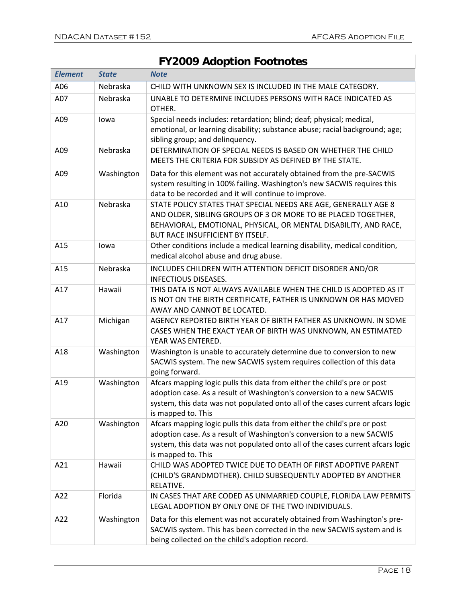| <b>Element</b> | <b>State</b> | <b>Note</b>                                                                                                                                                                                                                                               |
|----------------|--------------|-----------------------------------------------------------------------------------------------------------------------------------------------------------------------------------------------------------------------------------------------------------|
| A06            | Nebraska     | CHILD WITH UNKNOWN SEX IS INCLUDED IN THE MALE CATEGORY.                                                                                                                                                                                                  |
| A07            | Nebraska     | UNABLE TO DETERMINE INCLUDES PERSONS WITH RACE INDICATED AS<br>OTHER.                                                                                                                                                                                     |
| A09            | lowa         | Special needs includes: retardation; blind; deaf; physical; medical,<br>emotional, or learning disability; substance abuse; racial background; age;<br>sibling group; and delinquency.                                                                    |
| A09            | Nebraska     | DETERMINATION OF SPECIAL NEEDS IS BASED ON WHETHER THE CHILD<br>MEETS THE CRITERIA FOR SUBSIDY AS DEFINED BY THE STATE.                                                                                                                                   |
| A09            | Washington   | Data for this element was not accurately obtained from the pre-SACWIS<br>system resulting in 100% failing. Washington's new SACWIS requires this<br>data to be recorded and it will continue to improve.                                                  |
| A10            | Nebraska     | STATE POLICY STATES THAT SPECIAL NEEDS ARE AGE, GENERALLY AGE 8<br>AND OLDER, SIBLING GROUPS OF 3 OR MORE TO BE PLACED TOGETHER,<br>BEHAVIORAL, EMOTIONAL, PHYSICAL, OR MENTAL DISABILITY, AND RACE,<br><b>BUT RACE INSUFFICIENT BY ITSELF.</b>           |
| A15            | lowa         | Other conditions include a medical learning disability, medical condition,<br>medical alcohol abuse and drug abuse.                                                                                                                                       |
| A15            | Nebraska     | INCLUDES CHILDREN WITH ATTENTION DEFICIT DISORDER AND/OR<br><b>INFECTIOUS DISEASES.</b>                                                                                                                                                                   |
| A17            | Hawaii       | THIS DATA IS NOT ALWAYS AVAILABLE WHEN THE CHILD IS ADOPTED AS IT<br>IS NOT ON THE BIRTH CERTIFICATE, FATHER IS UNKNOWN OR HAS MOVED<br>AWAY AND CANNOT BE LOCATED.                                                                                       |
| A17            | Michigan     | AGENCY REPORTED BIRTH YEAR OF BIRTH FATHER AS UNKNOWN. IN SOME<br>CASES WHEN THE EXACT YEAR OF BIRTH WAS UNKNOWN, AN ESTIMATED<br>YEAR WAS ENTERED.                                                                                                       |
| A18            | Washington   | Washington is unable to accurately determine due to conversion to new<br>SACWIS system. The new SACWIS system requires collection of this data<br>going forward.                                                                                          |
| A19            | Washington   | Afcars mapping logic pulls this data from either the child's pre or post<br>adoption case. As a result of Washington's conversion to a new SACWIS<br>system, this data was not populated onto all of the cases current afcars logic<br>is mapped to. This |
| A20            | Washington   | Afcars mapping logic pulls this data from either the child's pre or post<br>adoption case. As a result of Washington's conversion to a new SACWIS<br>system, this data was not populated onto all of the cases current afcars logic<br>is mapped to. This |
| A21            | Hawaii       | CHILD WAS ADOPTED TWICE DUE TO DEATH OF FIRST ADOPTIVE PARENT<br>(CHILD'S GRANDMOTHER). CHILD SUBSEQUENTLY ADOPTED BY ANOTHER<br>RELATIVE.                                                                                                                |
| A22            | Florida      | IN CASES THAT ARE CODED AS UNMARRIED COUPLE, FLORIDA LAW PERMITS<br>LEGAL ADOPTION BY ONLY ONE OF THE TWO INDIVIDUALS.                                                                                                                                    |
| A22            | Washington   | Data for this element was not accurately obtained from Washington's pre-<br>SACWIS system. This has been corrected in the new SACWIS system and is<br>being collected on the child's adoption record.                                                     |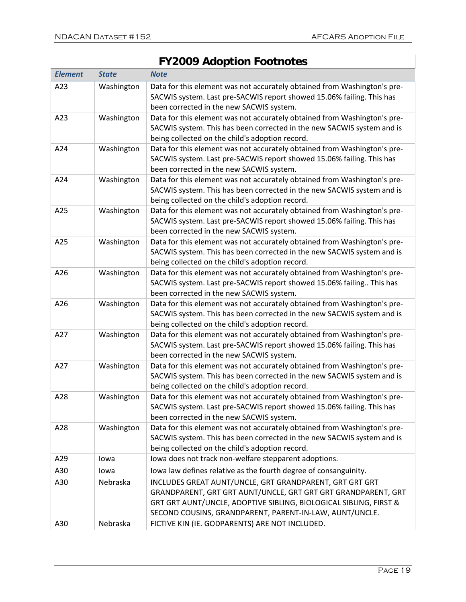| <b>Element</b> | <b>State</b> | <b>Note</b>                                                                                                                                                                                                                                              |
|----------------|--------------|----------------------------------------------------------------------------------------------------------------------------------------------------------------------------------------------------------------------------------------------------------|
| A23            | Washington   | Data for this element was not accurately obtained from Washington's pre-<br>SACWIS system. Last pre-SACWIS report showed 15.06% failing. This has<br>been corrected in the new SACWIS system.                                                            |
| A23            | Washington   | Data for this element was not accurately obtained from Washington's pre-<br>SACWIS system. This has been corrected in the new SACWIS system and is<br>being collected on the child's adoption record.                                                    |
| A24            | Washington   | Data for this element was not accurately obtained from Washington's pre-<br>SACWIS system. Last pre-SACWIS report showed 15.06% failing. This has<br>been corrected in the new SACWIS system.                                                            |
| A24            | Washington   | Data for this element was not accurately obtained from Washington's pre-<br>SACWIS system. This has been corrected in the new SACWIS system and is<br>being collected on the child's adoption record.                                                    |
| A25            | Washington   | Data for this element was not accurately obtained from Washington's pre-<br>SACWIS system. Last pre-SACWIS report showed 15.06% failing. This has<br>been corrected in the new SACWIS system.                                                            |
| A25            | Washington   | Data for this element was not accurately obtained from Washington's pre-<br>SACWIS system. This has been corrected in the new SACWIS system and is<br>being collected on the child's adoption record.                                                    |
| A26            | Washington   | Data for this element was not accurately obtained from Washington's pre-<br>SACWIS system. Last pre-SACWIS report showed 15.06% failing This has<br>been corrected in the new SACWIS system.                                                             |
| A26            | Washington   | Data for this element was not accurately obtained from Washington's pre-<br>SACWIS system. This has been corrected in the new SACWIS system and is<br>being collected on the child's adoption record.                                                    |
| A27            | Washington   | Data for this element was not accurately obtained from Washington's pre-<br>SACWIS system. Last pre-SACWIS report showed 15.06% failing. This has<br>been corrected in the new SACWIS system.                                                            |
| A27            | Washington   | Data for this element was not accurately obtained from Washington's pre-<br>SACWIS system. This has been corrected in the new SACWIS system and is<br>being collected on the child's adoption record.                                                    |
| A28            | Washington   | Data for this element was not accurately obtained from Washington's pre-<br>SACWIS system. Last pre-SACWIS report showed 15.06% failing. This has<br>been corrected in the new SACWIS system.                                                            |
| A28            | Washington   | Data for this element was not accurately obtained from Washington's pre-<br>SACWIS system. This has been corrected in the new SACWIS system and is<br>being collected on the child's adoption record.                                                    |
| A29            | lowa         | lowa does not track non-welfare stepparent adoptions.                                                                                                                                                                                                    |
| A30            | lowa         | lowa law defines relative as the fourth degree of consanguinity.                                                                                                                                                                                         |
| A30            | Nebraska     | INCLUDES GREAT AUNT/UNCLE, GRT GRANDPARENT, GRT GRT GRT<br>GRANDPARENT, GRT GRT AUNT/UNCLE, GRT GRT GRT GRANDPARENT, GRT<br>GRT GRT AUNT/UNCLE, ADOPTIVE SIBLING, BIOLOGICAL SIBLING, FIRST &<br>SECOND COUSINS, GRANDPARENT, PARENT-IN-LAW, AUNT/UNCLE. |
| A30            | Nebraska     | FICTIVE KIN (IE. GODPARENTS) ARE NOT INCLUDED.                                                                                                                                                                                                           |